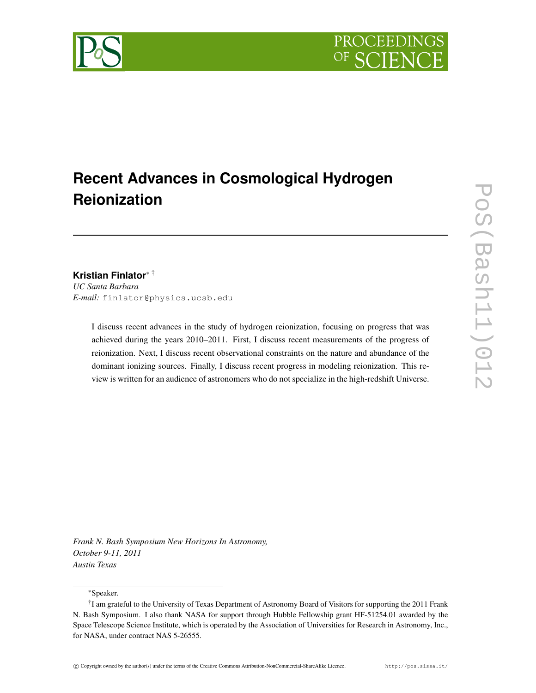# **Recent Advances in Cosmological Hydrogen Reionization**

# **Kristian Finlator**<sup>∗</sup> †

*UC Santa Barbara E-mail:* finlator@physics.ucsb.edu

> I discuss recent advances in the study of hydrogen reionization, focusing on progress that was achieved during the years 2010–2011. First, I discuss recent measurements of the progress of reionization. Next, I discuss recent observational constraints on the nature and abundance of the dominant ionizing sources. Finally, I discuss recent progress in modeling reionization. This review is written for an audience of astronomers who do not specialize in the high-redshift Universe.

*Frank N. Bash Symposium New Horizons In Astronomy, October 9-11, 2011 Austin Texas*

<sup>∗</sup>Speaker.



<sup>&</sup>lt;sup>†</sup>I am grateful to the University of Texas Department of Astronomy Board of Visitors for supporting the 2011 Frank N. Bash Symposium. I also thank NASA for support through Hubble Fellowship grant HF-51254.01 awarded by the Space Telescope Science Institute, which is operated by the Association of Universities for Research in Astronomy, Inc., for NASA, under contract NAS 5-26555.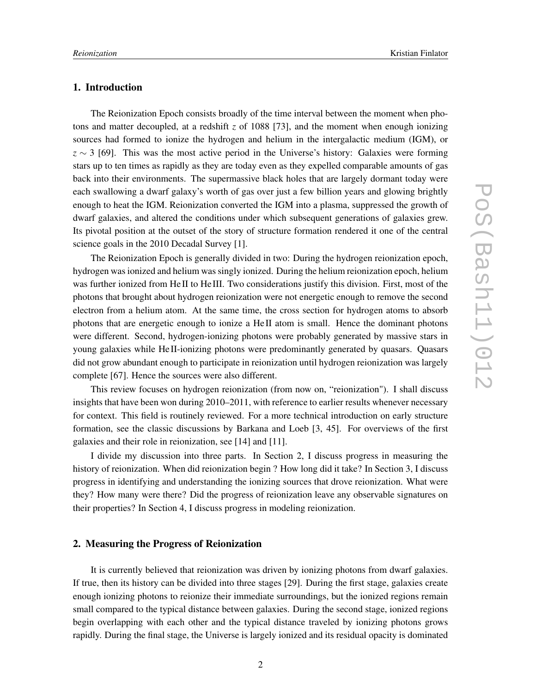# **1. Introduction**

The Reionization Epoch consists broadly of the time interval between the moment when photons and matter decoupled, at a redshift *z* of 1088 [73], and the moment when enough ionizing sources had formed to ionize the hydrogen and helium in the intergalactic medium (IGM), or  $z \sim 3$  [69]. This was the most active period in the Universe's history: Galaxies were forming stars up to ten times as rapidly as they are today even as they expelled comparable amounts of gas back into their environments. The supermassive black holes that are largely dormant today were each swallowing a dwarf galaxy's worth of gas over just a few billion years and glowing brightly enough to heat the IGM. Reionization converted the IGM into a plasma, suppressed the growth of dwarf galaxies, and altered the conditions under which subsequent generations of galaxies grew. Its pivotal position at the outset of the story of structure formation rendered it one of the central science goals in the 2010 Decadal Survey [1].

The Reionization Epoch is generally divided in two: During the hydrogen reionization epoch, hydrogen was ionized and helium was singly ionized. During the helium reionization epoch, helium was further ionized from He II to He III. Two considerations justify this division. First, most of the photons that brought about hydrogen reionization were not energetic enough to remove the second electron from a helium atom. At the same time, the cross section for hydrogen atoms to absorb photons that are energetic enough to ionize a He II atom is small. Hence the dominant photons were different. Second, hydrogen-ionizing photons were probably generated by massive stars in young galaxies while He II-ionizing photons were predominantly generated by quasars. Quasars did not grow abundant enough to participate in reionization until hydrogen reionization was largely complete [67]. Hence the sources were also different.

This review focuses on hydrogen reionization (from now on, "reionization"). I shall discuss insights that have been won during 2010–2011, with reference to earlier results whenever necessary for context. This field is routinely reviewed. For a more technical introduction on early structure formation, see the classic discussions by Barkana and Loeb [3, 45]. For overviews of the first galaxies and their role in reionization, see [14] and [11].

I divide my discussion into three parts. In Section 2, I discuss progress in measuring the history of reionization. When did reionization begin ? How long did it take? In Section 3, I discuss progress in identifying and understanding the ionizing sources that drove reionization. What were they? How many were there? Did the progress of reionization leave any observable signatures on their properties? In Section 4, I discuss progress in modeling reionization.

# **2. Measuring the Progress of Reionization**

It is currently believed that reionization was driven by ionizing photons from dwarf galaxies. If true, then its history can be divided into three stages [29]. During the first stage, galaxies create enough ionizing photons to reionize their immediate surroundings, but the ionized regions remain small compared to the typical distance between galaxies. During the second stage, ionized regions begin overlapping with each other and the typical distance traveled by ionizing photons grows rapidly. During the final stage, the Universe is largely ionized and its residual opacity is dominated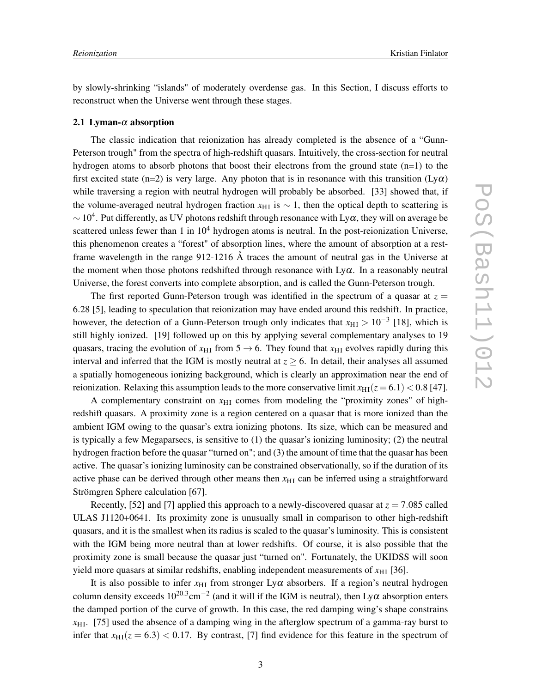by slowly-shrinking "islands" of moderately overdense gas. In this Section, I discuss efforts to reconstruct when the Universe went through these stages.

#### **2.1 Lyman-**<sup>α</sup> **absorption**

The classic indication that reionization has already completed is the absence of a "Gunn-Peterson trough" from the spectra of high-redshift quasars. Intuitively, the cross-section for neutral hydrogen atoms to absorb photons that boost their electrons from the ground state  $(n=1)$  to the first excited state (n=2) is very large. Any photon that is in resonance with this transition ( $Ly\alpha$ ) while traversing a region with neutral hydrogen will probably be absorbed. [33] showed that, if the volume-averaged neutral hydrogen fraction  $x_{\text{H I}}$  is  $\sim 1$ , then the optical depth to scattering is  $\sim$  10<sup>4</sup>. Put differently, as UV photons redshift through resonance with Ly $\alpha$ , they will on average be scattered unless fewer than 1 in  $10<sup>4</sup>$  hydrogen atoms is neutral. In the post-reionization Universe, this phenomenon creates a "forest" of absorption lines, where the amount of absorption at a restframe wavelength in the range 912-1216 Å traces the amount of neutral gas in the Universe at the moment when those photons redshifted through resonance with  $Ly\alpha$ . In a reasonably neutral Universe, the forest converts into complete absorption, and is called the Gunn-Peterson trough.

The first reported Gunn-Peterson trough was identified in the spectrum of a quasar at  $z =$ 6.28 [5], leading to speculation that reionization may have ended around this redshift. In practice, however, the detection of a Gunn-Peterson trough only indicates that  $x_{\text{HI}} > 10^{-3}$  [18], which is still highly ionized. [19] followed up on this by applying several complementary analyses to 19 quasars, tracing the evolution of  $x_{\text{H I}}$  from 5  $\rightarrow$  6. They found that  $x_{\text{H I}}$  evolves rapidly during this interval and inferred that the IGM is mostly neutral at  $z \ge 6$ . In detail, their analyses all assumed a spatially homogeneous ionizing background, which is clearly an approximation near the end of reionization. Relaxing this assumption leads to the more conservative limit  $x_{\text{H1}}(z=6.1) < 0.8$  [47].

A complementary constraint on  $x<sub>H1</sub>$  comes from modeling the "proximity zones" of highredshift quasars. A proximity zone is a region centered on a quasar that is more ionized than the ambient IGM owing to the quasar's extra ionizing photons. Its size, which can be measured and is typically a few Megaparsecs, is sensitive to (1) the quasar's ionizing luminosity; (2) the neutral hydrogen fraction before the quasar "turned on"; and (3) the amount of time that the quasar has been active. The quasar's ionizing luminosity can be constrained observationally, so if the duration of its active phase can be derived through other means then  $x<sub>H1</sub>$  can be inferred using a straightforward Strömgren Sphere calculation [67].

Recently, [52] and [7] applied this approach to a newly-discovered quasar at  $z = 7.085$  called ULAS J1120+0641. Its proximity zone is unusually small in comparison to other high-redshift quasars, and it is the smallest when its radius is scaled to the quasar's luminosity. This is consistent with the IGM being more neutral than at lower redshifts. Of course, it is also possible that the proximity zone is small because the quasar just "turned on". Fortunately, the UKIDSS will soon yield more quasars at similar redshifts, enabling independent measurements of  $x_{\rm H1}$  [36].

It is also possible to infer  $x_{\text{H I}}$  from stronger Ly $\alpha$  absorbers. If a region's neutral hydrogen column density exceeds  $10^{20.3}$ cm<sup>-2</sup> (and it will if the IGM is neutral), then Ly $\alpha$  absorption enters the damped portion of the curve of growth. In this case, the red damping wing's shape constrains  $x_{\text{H1}}$ . [75] used the absence of a damping wing in the afterglow spectrum of a gamma-ray burst to infer that  $x_{\text{H1}}(z = 6.3) < 0.17$ . By contrast, [7] find evidence for this feature in the spectrum of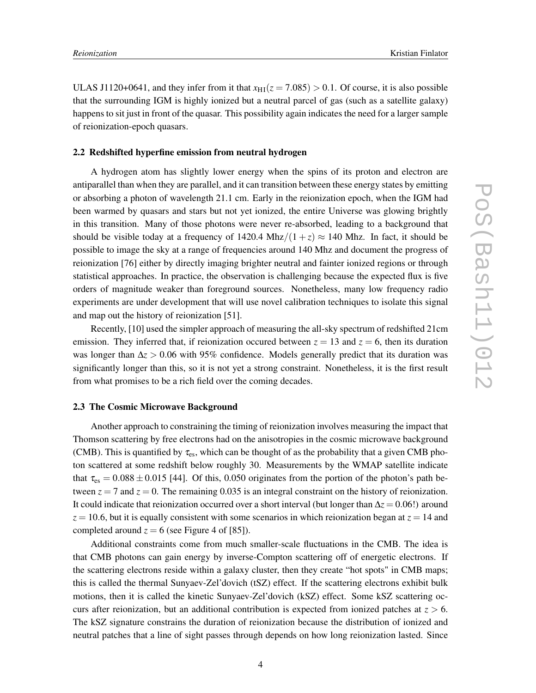ULAS J1120+0641, and they infer from it that  $x_{\text{H1}}(z = 7.085) > 0.1$ . Of course, it is also possible that the surrounding IGM is highly ionized but a neutral parcel of gas (such as a satellite galaxy) happens to sit just in front of the quasar. This possibility again indicates the need for a larger sample of reionization-epoch quasars.

#### **2.2 Redshifted hyperfine emission from neutral hydrogen**

A hydrogen atom has slightly lower energy when the spins of its proton and electron are antiparallel than when they are parallel, and it can transition between these energy states by emitting or absorbing a photon of wavelength 21.1 cm. Early in the reionization epoch, when the IGM had been warmed by quasars and stars but not yet ionized, the entire Universe was glowing brightly in this transition. Many of those photons were never re-absorbed, leading to a background that should be visible today at a frequency of 1420.4 Mhz/ $(1 + z) \approx 140$  Mhz. In fact, it should be possible to image the sky at a range of frequencies around 140 Mhz and document the progress of reionization [76] either by directly imaging brighter neutral and fainter ionized regions or through statistical approaches. In practice, the observation is challenging because the expected flux is five orders of magnitude weaker than foreground sources. Nonetheless, many low frequency radio experiments are under development that will use novel calibration techniques to isolate this signal and map out the history of reionization [51].

Recently, [10] used the simpler approach of measuring the all-sky spectrum of redshifted 21cm emission. They inferred that, if reionization occured between  $z = 13$  and  $z = 6$ , then its duration was longer than ∆*z* > 0.06 with 95% confidence. Models generally predict that its duration was significantly longer than this, so it is not yet a strong constraint. Nonetheless, it is the first result from what promises to be a rich field over the coming decades.

#### **2.3 The Cosmic Microwave Background**

Another approach to constraining the timing of reionization involves measuring the impact that Thomson scattering by free electrons had on the anisotropies in the cosmic microwave background (CMB). This is quantified by  $\tau_{es}$ , which can be thought of as the probability that a given CMB photon scattered at some redshift below roughly 30. Measurements by the WMAP satellite indicate that  $\tau_{\rm es} = 0.088 \pm 0.015$  [44]. Of this, 0.050 originates from the portion of the photon's path between  $z = 7$  and  $z = 0$ . The remaining 0.035 is an integral constraint on the history of reionization. It could indicate that reionization occurred over a short interval (but longer than ∆*z* = 0.06!) around  $z = 10.6$ , but it is equally consistent with some scenarios in which reionization began at  $z = 14$  and completed around  $z = 6$  (see Figure 4 of [85]).

Additional constraints come from much smaller-scale fluctuations in the CMB. The idea is that CMB photons can gain energy by inverse-Compton scattering off of energetic electrons. If the scattering electrons reside within a galaxy cluster, then they create "hot spots" in CMB maps; this is called the thermal Sunyaev-Zel'dovich (tSZ) effect. If the scattering electrons exhibit bulk motions, then it is called the kinetic Sunyaev-Zel'dovich (kSZ) effect. Some kSZ scattering occurs after reionization, but an additional contribution is expected from ionized patches at  $z > 6$ . The kSZ signature constrains the duration of reionization because the distribution of ionized and neutral patches that a line of sight passes through depends on how long reionization lasted. Since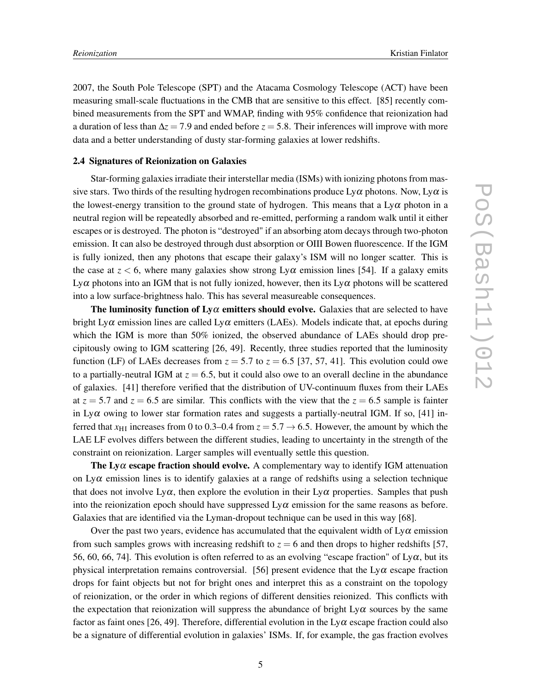2007, the South Pole Telescope (SPT) and the Atacama Cosmology Telescope (ACT) have been measuring small-scale fluctuations in the CMB that are sensitive to this effect. [85] recently combined measurements from the SPT and WMAP, finding with 95% confidence that reionization had a duration of less than ∆*z* = 7.9 and ended before *z* = 5.8. Their inferences will improve with more data and a better understanding of dusty star-forming galaxies at lower redshifts.

# **2.4 Signatures of Reionization on Galaxies**

Star-forming galaxies irradiate their interstellar media (ISMs) with ionizing photons from massive stars. Two thirds of the resulting hydrogen recombinations produce  $Ly\alpha$  photons. Now,  $Ly\alpha$  is the lowest-energy transition to the ground state of hydrogen. This means that a  $Ly\alpha$  photon in a neutral region will be repeatedly absorbed and re-emitted, performing a random walk until it either escapes or is destroyed. The photon is "destroyed" if an absorbing atom decays through two-photon emission. It can also be destroyed through dust absorption or OIII Bowen fluorescence. If the IGM is fully ionized, then any photons that escape their galaxy's ISM will no longer scatter. This is the case at  $z < 6$ , where many galaxies show strong Ly $\alpha$  emission lines [54]. If a galaxy emits Ly $\alpha$  photons into an IGM that is not fully ionized, however, then its Ly $\alpha$  photons will be scattered into a low surface-brightness halo. This has several measureable consequences.

**The luminosity function of**  $Ly\alpha$  **emitters should evolve.** Galaxies that are selected to have bright Ly $\alpha$  emission lines are called Ly $\alpha$  emitters (LAEs). Models indicate that, at epochs during which the IGM is more than 50% ionized, the observed abundance of LAEs should drop precipitously owing to IGM scattering [26, 49]. Recently, three studies reported that the luminosity function (LF) of LAEs decreases from  $z = 5.7$  to  $z = 6.5$  [37, 57, 41]. This evolution could owe to a partially-neutral IGM at  $z = 6.5$ , but it could also owe to an overall decline in the abundance of galaxies. [41] therefore verified that the distribution of UV-continuum fluxes from their LAEs at  $z = 5.7$  and  $z = 6.5$  are similar. This conflicts with the view that the  $z = 6.5$  sample is fainter in Ly $\alpha$  owing to lower star formation rates and suggests a partially-neutral IGM. If so, [41] inferred that  $x_{\text{H I}}$  increases from 0 to 0.3–0.4 from  $z = 5.7 \rightarrow 6.5$ . However, the amount by which the LAE LF evolves differs between the different studies, leading to uncertainty in the strength of the constraint on reionization. Larger samples will eventually settle this question.

**The Ly** $\alpha$  **escape fraction should evolve.** A complementary way to identify IGM attenuation on  $Ly\alpha$  emission lines is to identify galaxies at a range of redshifts using a selection technique that does not involve  $L_y\alpha$ , then explore the evolution in their  $L_y\alpha$  properties. Samples that push into the reionization epoch should have suppressed  $Ly\alpha$  emission for the same reasons as before. Galaxies that are identified via the Lyman-dropout technique can be used in this way [68].

Over the past two years, evidence has accumulated that the equivalent width of  $Ly\alpha$  emission from such samples grows with increasing redshift to  $z = 6$  and then drops to higher redshifts [57, 56, 60, 66, 74]. This evolution is often referred to as an evolving "escape fraction" of  $Ly\alpha$ , but its physical interpretation remains controversial. [56] present evidence that the  $Ly\alpha$  escape fraction drops for faint objects but not for bright ones and interpret this as a constraint on the topology of reionization, or the order in which regions of different densities reionized. This conflicts with the expectation that reionization will suppress the abundance of bright  $Ly\alpha$  sources by the same factor as faint ones [26, 49]. Therefore, differential evolution in the  $Ly\alpha$  escape fraction could also be a signature of differential evolution in galaxies' ISMs. If, for example, the gas fraction evolves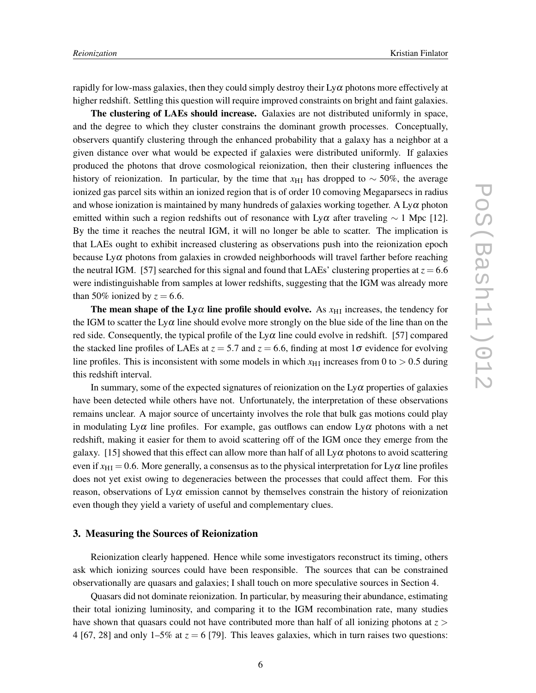rapidly for low-mass galaxies, then they could simply destroy their  $Ly\alpha$  photons more effectively at higher redshift. Settling this question will require improved constraints on bright and faint galaxies.

**The clustering of LAEs should increase.** Galaxies are not distributed uniformly in space, and the degree to which they cluster constrains the dominant growth processes. Conceptually, observers quantify clustering through the enhanced probability that a galaxy has a neighbor at a given distance over what would be expected if galaxies were distributed uniformly. If galaxies produced the photons that drove cosmological reionization, then their clustering influences the history of reionization. In particular, by the time that  $x_{\text{H I}}$  has dropped to ~ 50%, the average ionized gas parcel sits within an ionized region that is of order 10 comoving Megaparsecs in radius and whose ionization is maintained by many hundreds of galaxies working together. A  $Ly\alpha$  photon emitted within such a region redshifts out of resonance with Ly $\alpha$  after traveling  $\sim 1$  Mpc [12]. By the time it reaches the neutral IGM, it will no longer be able to scatter. The implication is that LAEs ought to exhibit increased clustering as observations push into the reionization epoch because  $Ly\alpha$  photons from galaxies in crowded neighborhoods will travel farther before reaching the neutral IGM. [57] searched for this signal and found that LAEs' clustering properties at  $z = 6.6$ were indistinguishable from samples at lower redshifts, suggesting that the IGM was already more than 50% ionized by  $z = 6.6$ .

**The mean shape of the Ly** $\alpha$  **line profile should evolve.** As  $x_{\text{HI}}$  increases, the tendency for the IGM to scatter the Ly $\alpha$  line should evolve more strongly on the blue side of the line than on the red side. Consequently, the typical profile of the Ly $\alpha$  line could evolve in redshift. [57] compared the stacked line profiles of LAEs at  $z = 5.7$  and  $z = 6.6$ , finding at most 1 $\sigma$  evidence for evolving line profiles. This is inconsistent with some models in which  $x_{\text{H I}}$  increases from 0 to  $> 0.5$  during this redshift interval.

In summary, some of the expected signatures of reionization on the  $L_y\alpha$  properties of galaxies have been detected while others have not. Unfortunately, the interpretation of these observations remains unclear. A major source of uncertainty involves the role that bulk gas motions could play in modulating  $Ly\alpha$  line profiles. For example, gas outflows can endow  $Ly\alpha$  photons with a net redshift, making it easier for them to avoid scattering off of the IGM once they emerge from the galaxy. [15] showed that this effect can allow more than half of all  $Ly\alpha$  photons to avoid scattering even if  $x_{\text{HI}} = 0.6$ . More generally, a consensus as to the physical interpretation for  $Ly\alpha$  line profiles does not yet exist owing to degeneracies between the processes that could affect them. For this reason, observations of  $Ly\alpha$  emission cannot by themselves constrain the history of reionization even though they yield a variety of useful and complementary clues.

## **3. Measuring the Sources of Reionization**

Reionization clearly happened. Hence while some investigators reconstruct its timing, others ask which ionizing sources could have been responsible. The sources that can be constrained observationally are quasars and galaxies; I shall touch on more speculative sources in Section 4.

Quasars did not dominate reionization. In particular, by measuring their abundance, estimating their total ionizing luminosity, and comparing it to the IGM recombination rate, many studies have shown that quasars could not have contributed more than half of all ionizing photons at  $z >$ 4 [67, 28] and only 1–5% at  $z = 6$  [79]. This leaves galaxies, which in turn raises two questions: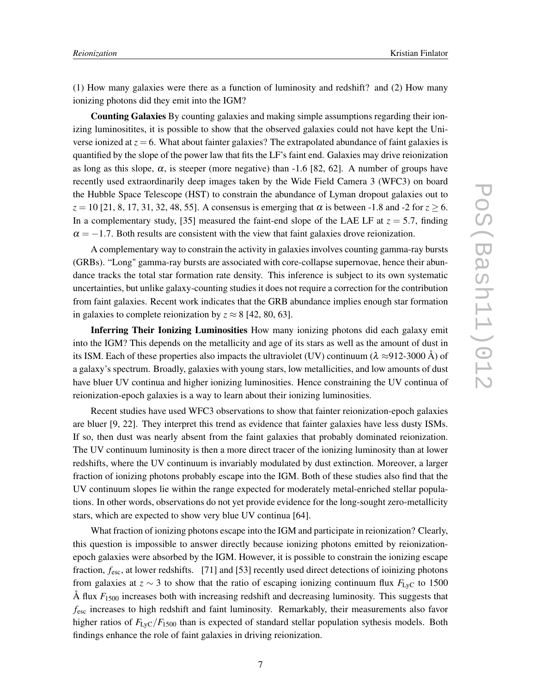(1) How many galaxies were there as a function of luminosity and redshift? and (2) How many ionizing photons did they emit into the IGM?

**Counting Galaxies** By counting galaxies and making simple assumptions regarding their ionizing luminositites, it is possible to show that the observed galaxies could not have kept the Universe ionized at  $z = 6$ . What about fainter galaxies? The extrapolated abundance of faint galaxies is quantified by the slope of the power law that fits the LF's faint end. Galaxies may drive reionization as long as this slope,  $\alpha$ , is steeper (more negative) than -1.6 [82, 62]. A number of groups have recently used extraordinarily deep images taken by the Wide Field Camera 3 (WFC3) on board the Hubble Space Telescope (HST) to constrain the abundance of Lyman dropout galaxies out to  $z = 10$  [21, 8, 17, 31, 32, 48, 55]. A consensus is emerging that  $\alpha$  is between -1.8 and -2 for  $z \ge 6$ . In a complementary study, [35] measured the faint-end slope of the LAE LF at  $z = 5.7$ , finding  $\alpha = -1.7$ . Both results are consistent with the view that faint galaxies drove reionization.

A complementary way to constrain the activity in galaxies involves counting gamma-ray bursts (GRBs). "Long" gamma-ray bursts are associated with core-collapse supernovae, hence their abundance tracks the total star formation rate density. This inference is subject to its own systematic uncertainties, but unlike galaxy-counting studies it does not require a correction for the contribution from faint galaxies. Recent work indicates that the GRB abundance implies enough star formation in galaxies to complete reionization by  $z \approx 8$  [42, 80, 63].

**Inferring Their Ionizing Luminosities** How many ionizing photons did each galaxy emit into the IGM? This depends on the metallicity and age of its stars as well as the amount of dust in its ISM. Each of these properties also impacts the ultraviolet (UV) continuum ( $\lambda \approx 912\text{-}3000 \text{ Å}$ ) of a galaxy's spectrum. Broadly, galaxies with young stars, low metallicities, and low amounts of dust have bluer UV continua and higher ionizing luminosities. Hence constraining the UV continua of reionization-epoch galaxies is a way to learn about their ionizing luminosities.

Recent studies have used WFC3 observations to show that fainter reionization-epoch galaxies are bluer [9, 22]. They interpret this trend as evidence that fainter galaxies have less dusty ISMs. If so, then dust was nearly absent from the faint galaxies that probably dominated reionization. The UV continuum luminosity is then a more direct tracer of the ionizing luminosity than at lower redshifts, where the UV continuum is invariably modulated by dust extinction. Moreover, a larger fraction of ionizing photons probably escape into the IGM. Both of these studies also find that the UV continuum slopes lie within the range expected for moderately metal-enriched stellar populations. In other words, observations do not yet provide evidence for the long-sought zero-metallicity stars, which are expected to show very blue UV continua [64].

What fraction of ionizing photons escape into the IGM and participate in reionization? Clearly, this question is impossible to answer directly because ionizing photons emitted by reionizationepoch galaxies were absorbed by the IGM. However, it is possible to constrain the ionizing escape fraction,  $f_{\text{esc}}$ , at lower redshifts. [71] and [53] recently used direct detections of ioinizing photons from galaxies at  $z \sim 3$  to show that the ratio of escaping ionizing continuum flux  $F_{\text{Lyc}}$  to 1500 Å flux *F*<sup>1500</sup> increases both with increasing redshift and decreasing luminosity. This suggests that *f*esc increases to high redshift and faint luminosity. Remarkably, their measurements also favor higher ratios of  $F_{\text{LyC}}/F_{1500}$  than is expected of standard stellar population sythesis models. Both findings enhance the role of faint galaxies in driving reionization.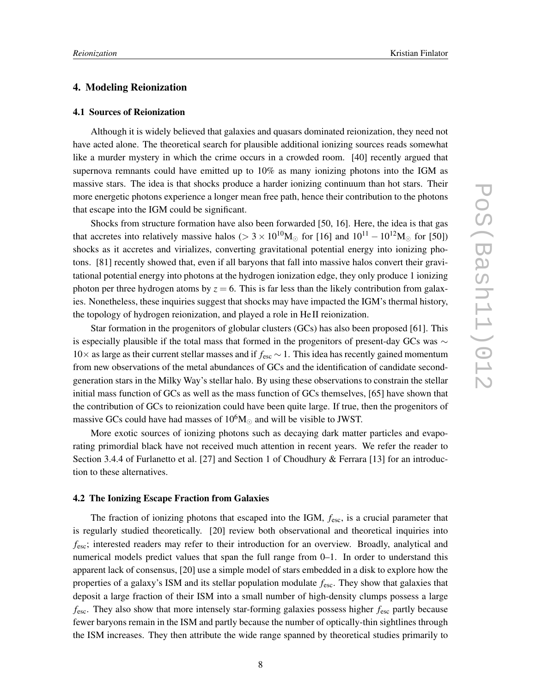### **4. Modeling Reionization**

#### **4.1 Sources of Reionization**

Although it is widely believed that galaxies and quasars dominated reionization, they need not have acted alone. The theoretical search for plausible additional ionizing sources reads somewhat like a murder mystery in which the crime occurs in a crowded room. [40] recently argued that supernova remnants could have emitted up to 10% as many ionizing photons into the IGM as massive stars. The idea is that shocks produce a harder ionizing continuum than hot stars. Their more energetic photons experience a longer mean free path, hence their contribution to the photons that escape into the IGM could be significant.

Shocks from structure formation have also been forwarded [50, 16]. Here, the idea is that gas that accretes into relatively massive halos (> 3 × 10<sup>10</sup>M<sub>☉</sub> for [16] and  $10^{11} - 10^{12}$ M<sub>☉</sub> for [50]) shocks as it accretes and virializes, converting gravitational potential energy into ionizing photons. [81] recently showed that, even if all baryons that fall into massive halos convert their gravitational potential energy into photons at the hydrogen ionization edge, they only produce 1 ionizing photon per three hydrogen atoms by  $z = 6$ . This is far less than the likely contribution from galaxies. Nonetheless, these inquiries suggest that shocks may have impacted the IGM's thermal history, the topology of hydrogen reionization, and played a role in He II reionization.

Star formation in the progenitors of globular clusters (GCs) has also been proposed [61]. This is especially plausible if the total mass that formed in the progenitors of present-day GCs was  $\sim$ 10× as large as their current stellar masses and if *f*esc ∼ 1. This idea has recently gained momentum from new observations of the metal abundances of GCs and the identification of candidate secondgeneration stars in the Milky Way's stellar halo. By using these observations to constrain the stellar initial mass function of GCs as well as the mass function of GCs themselves, [65] have shown that the contribution of GCs to reionization could have been quite large. If true, then the progenitors of massive GCs could have had masses of  $10^6 M_{\odot}$  and will be visible to JWST.

More exotic sources of ionizing photons such as decaying dark matter particles and evaporating primordial black have not received much attention in recent years. We refer the reader to Section 3.4.4 of Furlanetto et al. [27] and Section 1 of Choudhury & Ferrara [13] for an introduction to these alternatives.

#### **4.2 The Ionizing Escape Fraction from Galaxies**

The fraction of ionizing photons that escaped into the IGM, *f*esc, is a crucial parameter that is regularly studied theoretically. [20] review both observational and theoretical inquiries into  $f_{\text{esc}}$ ; interested readers may refer to their introduction for an overview. Broadly, analytical and numerical models predict values that span the full range from 0–1. In order to understand this apparent lack of consensus, [20] use a simple model of stars embedded in a disk to explore how the properties of a galaxy's ISM and its stellar population modulate *f*esc. They show that galaxies that deposit a large fraction of their ISM into a small number of high-density clumps possess a large *f*esc. They also show that more intensely star-forming galaxies possess higher *f*esc partly because fewer baryons remain in the ISM and partly because the number of optically-thin sightlines through the ISM increases. They then attribute the wide range spanned by theoretical studies primarily to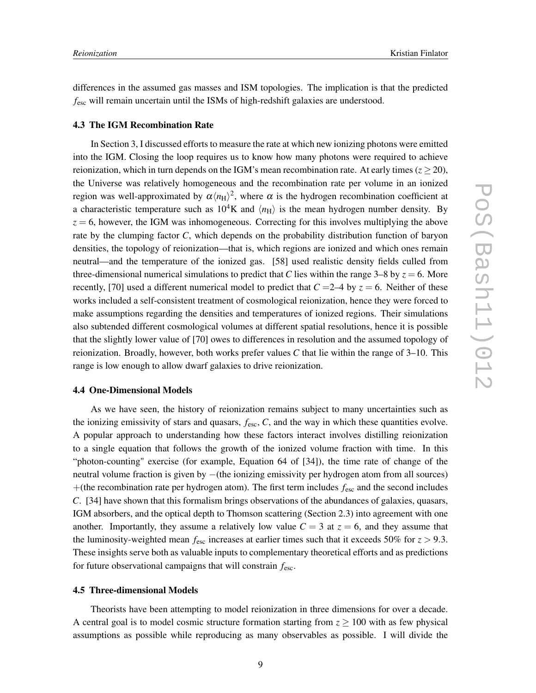differences in the assumed gas masses and ISM topologies. The implication is that the predicted *f*esc will remain uncertain until the ISMs of high-redshift galaxies are understood.

# **4.3 The IGM Recombination Rate**

In Section 3, I discussed efforts to measure the rate at which new ionizing photons were emitted into the IGM. Closing the loop requires us to know how many photons were required to achieve reionization, which in turn depends on the IGM's mean recombination rate. At early times ( $z \ge 20$ ), the Universe was relatively homogeneous and the recombination rate per volume in an ionized region was well-approximated by  $\alpha \langle n_H \rangle^2$ , where  $\alpha$  is the hydrogen recombination coefficient at a characteristic temperature such as  $10^4$ K and  $\langle n_H \rangle$  is the mean hydrogen number density. By  $z = 6$ , however, the IGM was inhomogeneous. Correcting for this involves multiplying the above rate by the clumping factor *C*, which depends on the probability distribution function of baryon densities, the topology of reionization—that is, which regions are ionized and which ones remain neutral—and the temperature of the ionized gas. [58] used realistic density fields culled from three-dimensional numerical simulations to predict that *C* lies within the range 3–8 by  $z = 6$ . More recently, [70] used a different numerical model to predict that  $C = 2-4$  by  $z = 6$ . Neither of these works included a self-consistent treatment of cosmological reionization, hence they were forced to make assumptions regarding the densities and temperatures of ionized regions. Their simulations also subtended different cosmological volumes at different spatial resolutions, hence it is possible that the slightly lower value of [70] owes to differences in resolution and the assumed topology of reionization. Broadly, however, both works prefer values *C* that lie within the range of 3–10. This range is low enough to allow dwarf galaxies to drive reionization.

# **4.4 One-Dimensional Models**

As we have seen, the history of reionization remains subject to many uncertainties such as the ionizing emissivity of stars and quasars, *f*esc, *C*, and the way in which these quantities evolve. A popular approach to understanding how these factors interact involves distilling reionization to a single equation that follows the growth of the ionized volume fraction with time. In this "photon-counting" exercise (for example, Equation 64 of [34]), the time rate of change of the neutral volume fraction is given by –(the ionizing emissivity per hydrogen atom from all sources) +(the recombination rate per hydrogen atom). The first term includes *f*esc and the second includes *C*. [34] have shown that this formalism brings observations of the abundances of galaxies, quasars, IGM absorbers, and the optical depth to Thomson scattering (Section 2.3) into agreement with one another. Importantly, they assume a relatively low value  $C = 3$  at  $z = 6$ , and they assume that the luminosity-weighted mean  $f_{\text{esc}}$  increases at earlier times such that it exceeds 50% for  $z > 9.3$ . These insights serve both as valuable inputs to complementary theoretical efforts and as predictions for future observational campaigns that will constrain *f*esc.

# **4.5 Three-dimensional Models**

Theorists have been attempting to model reionization in three dimensions for over a decade. A central goal is to model cosmic structure formation starting from  $z \ge 100$  with as few physical assumptions as possible while reproducing as many observables as possible. I will divide the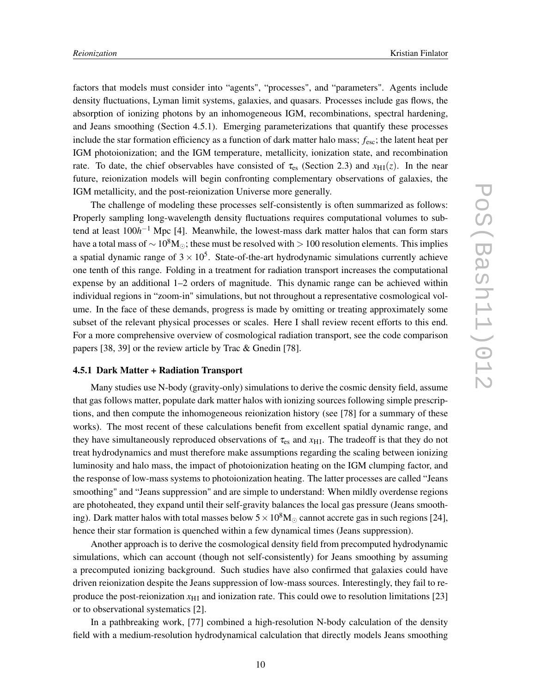factors that models must consider into "agents", "processes", and "parameters". Agents include density fluctuations, Lyman limit systems, galaxies, and quasars. Processes include gas flows, the absorption of ionizing photons by an inhomogeneous IGM, recombinations, spectral hardening, and Jeans smoothing (Section 4.5.1). Emerging parameterizations that quantify these processes include the star formation efficiency as a function of dark matter halo mass; *f*esc; the latent heat per IGM photoionization; and the IGM temperature, metallicity, ionization state, and recombination rate. To date, the chief observables have consisted of  $\tau_{es}$  (Section 2.3) and  $x_{\text{HI}}(z)$ . In the near future, reionization models will begin confronting complementary observations of galaxies, the IGM metallicity, and the post-reionization Universe more generally.

The challenge of modeling these processes self-consistently is often summarized as follows: Properly sampling long-wavelength density fluctuations requires computational volumes to subtend at least 100*h*<sup>-1</sup> Mpc [4]. Meanwhile, the lowest-mass dark matter halos that can form stars have a total mass of  $\sim 10^8$ M⊙; these must be resolved with > 100 resolution elements. This implies a spatial dynamic range of  $3 \times 10^5$ . State-of-the-art hydrodynamic simulations currently achieve one tenth of this range. Folding in a treatment for radiation transport increases the computational expense by an additional 1–2 orders of magnitude. This dynamic range can be achieved within individual regions in "zoom-in" simulations, but not throughout a representative cosmological volume. In the face of these demands, progress is made by omitting or treating approximately some subset of the relevant physical processes or scales. Here I shall review recent efforts to this end. For a more comprehensive overview of cosmological radiation transport, see the code comparison papers [38, 39] or the review article by Trac & Gnedin [78].

### **4.5.1 Dark Matter + Radiation Transport**

Many studies use N-body (gravity-only) simulations to derive the cosmic density field, assume that gas follows matter, populate dark matter halos with ionizing sources following simple prescriptions, and then compute the inhomogeneous reionization history (see [78] for a summary of these works). The most recent of these calculations benefit from excellent spatial dynamic range, and they have simultaneously reproduced observations of  $\tau_{es}$  and  $x_{\text{H1}}$ . The tradeoff is that they do not treat hydrodynamics and must therefore make assumptions regarding the scaling between ionizing luminosity and halo mass, the impact of photoionization heating on the IGM clumping factor, and the response of low-mass systems to photoionization heating. The latter processes are called "Jeans smoothing" and "Jeans suppression" and are simple to understand: When mildly overdense regions are photoheated, they expand until their self-gravity balances the local gas pressure (Jeans smoothing). Dark matter halos with total masses below  $5 \times 10^8$ M<sub>☉</sub> cannot accrete gas in such regions [24], hence their star formation is quenched within a few dynamical times (Jeans suppression).

Another approach is to derive the cosmological density field from precomputed hydrodynamic simulations, which can account (though not self-consistently) for Jeans smoothing by assuming a precomputed ionizing background. Such studies have also confirmed that galaxies could have driven reionization despite the Jeans suppression of low-mass sources. Interestingly, they fail to reproduce the post-reionization  $x_{\text{H I}}$  and ionization rate. This could owe to resolution limitations [23] or to observational systematics [2].

In a pathbreaking work, [77] combined a high-resolution N-body calculation of the density field with a medium-resolution hydrodynamical calculation that directly models Jeans smoothing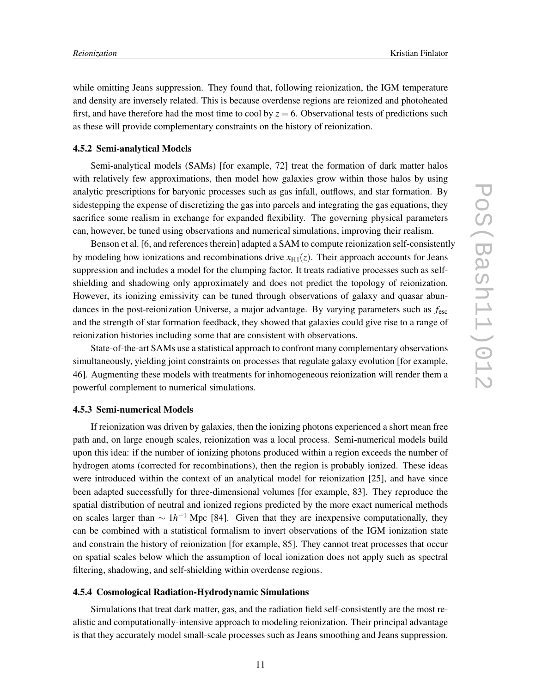while omitting Jeans suppression. They found that, following reionization, the IGM temperature and density are inversely related. This is because overdense regions are reionized and photoheated first, and have therefore had the most time to cool by  $z = 6$ . Observational tests of predictions such as these will provide complementary constraints on the history of reionization.

# **4.5.2 Semi-analytical Models**

Semi-analytical models (SAMs) [for example, 72] treat the formation of dark matter halos with relatively few approximations, then model how galaxies grow within those halos by using analytic prescriptions for baryonic processes such as gas infall, outflows, and star formation. By sidestepping the expense of discretizing the gas into parcels and integrating the gas equations, they sacrifice some realism in exchange for expanded flexibility. The governing physical parameters can, however, be tuned using observations and numerical simulations, improving their realism.

Benson et al. [6, and references therein] adapted a SAM to compute reionization self-consistently by modeling how ionizations and recombinations drive  $x_{\text{H1}}(z)$ . Their approach accounts for Jeans suppression and includes a model for the clumping factor. It treats radiative processes such as selfshielding and shadowing only approximately and does not predict the topology of reionization. However, its ionizing emissivity can be tuned through observations of galaxy and quasar abundances in the post-reionization Universe, a major advantage. By varying parameters such as *f*esc and the strength of star formation feedback, they showed that galaxies could give rise to a range of reionization histories including some that are consistent with observations.

State-of-the-art SAMs use a statistical approach to confront many complementary observations simultaneously, yielding joint constraints on processes that regulate galaxy evolution [for example, 46]. Augmenting these models with treatments for inhomogeneous reionization will render them a powerful complement to numerical simulations.

# **4.5.3 Semi-numerical Models**

If reionization was driven by galaxies, then the ionizing photons experienced a short mean free path and, on large enough scales, reionization was a local process. Semi-numerical models build upon this idea: if the number of ionizing photons produced within a region exceeds the number of hydrogen atoms (corrected for recombinations), then the region is probably ionized. These ideas were introduced within the context of an analytical model for reionization [25], and have since been adapted successfully for three-dimensional volumes [for example, 83]. They reproduce the spatial distribution of neutral and ionized regions predicted by the more exact numerical methods on scales larger than  $\sim 1 h^{-1}$  Mpc [84]. Given that they are inexpensive computationally, they can be combined with a statistical formalism to invert observations of the IGM ionization state and constrain the history of reionization [for example, 85]. They cannot treat processes that occur on spatial scales below which the assumption of local ionization does not apply such as spectral filtering, shadowing, and self-shielding within overdense regions.

# **4.5.4 Cosmological Radiation-Hydrodynamic Simulations**

Simulations that treat dark matter, gas, and the radiation field self-consistently are the most realistic and computationally-intensive approach to modeling reionization. Their principal advantage is that they accurately model small-scale processes such as Jeans smoothing and Jeans suppression.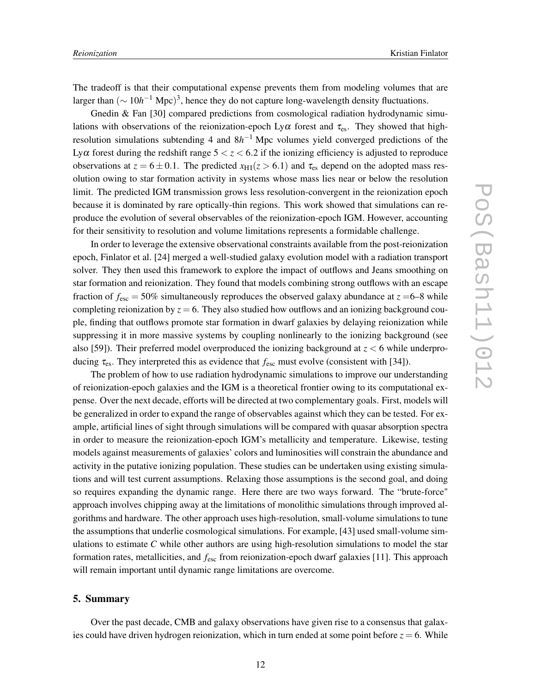The tradeoff is that their computational expense prevents them from modeling volumes that are larger than  $(\sim 10h^{-1}$  Mpc)<sup>3</sup>, hence they do not capture long-wavelength density fluctuations.

Gnedin  $\&$  Fan [30] compared predictions from cosmological radiation hydrodynamic simulations with observations of the reionization-epoch Ly $\alpha$  forest and  $\tau_{es}$ . They showed that highresolution simulations subtending 4 and 8*h*<sup>-1</sup> Mpc volumes yield converged predictions of the Ly $\alpha$  forest during the redshift range  $5 < z < 6.2$  if the ionizing efficiency is adjusted to reproduce observations at  $z = 6 \pm 0.1$ . The predicted  $x_{\text{H1}}(z > 6.1)$  and  $\tau_{\text{es}}$  depend on the adopted mass resolution owing to star formation activity in systems whose mass lies near or below the resolution limit. The predicted IGM transmission grows less resolution-convergent in the reionization epoch because it is dominated by rare optically-thin regions. This work showed that simulations can reproduce the evolution of several observables of the reionization-epoch IGM. However, accounting for their sensitivity to resolution and volume limitations represents a formidable challenge.

In order to leverage the extensive observational constraints available from the post-reionization epoch, Finlator et al. [24] merged a well-studied galaxy evolution model with a radiation transport solver. They then used this framework to explore the impact of outflows and Jeans smoothing on star formation and reionization. They found that models combining strong outflows with an escape fraction of  $f_{\text{esc}} = 50\%$  simultaneously reproduces the observed galaxy abundance at  $z = 6-8$  while completing reionization by  $z = 6$ . They also studied how outflows and an ionizing background couple, finding that outflows promote star formation in dwarf galaxies by delaying reionization while suppressing it in more massive systems by coupling nonlinearly to the ionizing background (see also [59]). Their preferred model overproduced the ionizing background at  $z < 6$  while underproducing  $\tau_{\rm es}$ . They interpreted this as evidence that  $f_{\rm esc}$  must evolve (consistent with [34]).

The problem of how to use radiation hydrodynamic simulations to improve our understanding of reionization-epoch galaxies and the IGM is a theoretical frontier owing to its computational expense. Over the next decade, efforts will be directed at two complementary goals. First, models will be generalized in order to expand the range of observables against which they can be tested. For example, artificial lines of sight through simulations will be compared with quasar absorption spectra in order to measure the reionization-epoch IGM's metallicity and temperature. Likewise, testing models against measurements of galaxies' colors and luminosities will constrain the abundance and activity in the putative ionizing population. These studies can be undertaken using existing simulations and will test current assumptions. Relaxing those assumptions is the second goal, and doing so requires expanding the dynamic range. Here there are two ways forward. The "brute-force" approach involves chipping away at the limitations of monolithic simulations through improved algorithms and hardware. The other approach uses high-resolution, small-volume simulations to tune the assumptions that underlie cosmological simulations. For example, [43] used small-volume simulations to estimate *C* while other authors are using high-resolution simulations to model the star formation rates, metallicities, and *f*esc from reionization-epoch dwarf galaxies [11]. This approach will remain important until dynamic range limitations are overcome.

# **5. Summary**

Over the past decade, CMB and galaxy observations have given rise to a consensus that galaxies could have driven hydrogen reionization, which in turn ended at some point before  $z = 6$ . While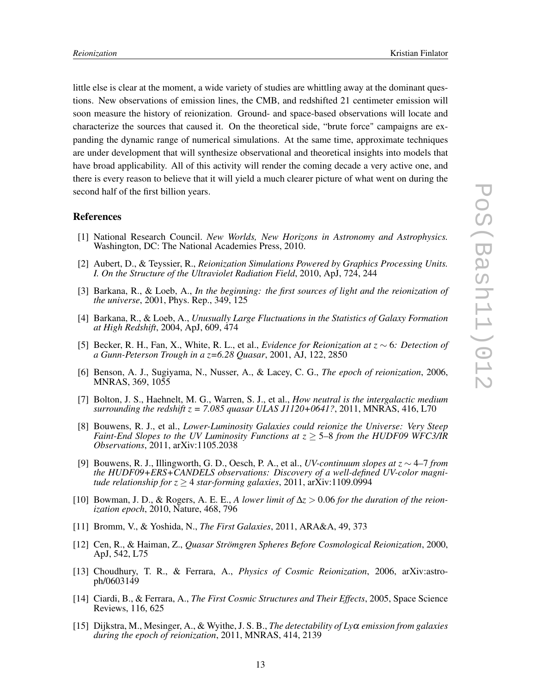little else is clear at the moment, a wide variety of studies are whittling away at the dominant questions. New observations of emission lines, the CMB, and redshifted 21 centimeter emission will soon measure the history of reionization. Ground- and space-based observations will locate and characterize the sources that caused it. On the theoretical side, "brute force" campaigns are expanding the dynamic range of numerical simulations. At the same time, approximate techniques are under development that will synthesize observational and theoretical insights into models that have broad applicability. All of this activity will render the coming decade a very active one, and there is every reason to believe that it will yield a much clearer picture of what went on during the second half of the first billion years.

#### **References**

- [1] National Research Council. *New Worlds, New Horizons in Astronomy and Astrophysics.* Washington, DC: The National Academies Press, 2010.
- [2] Aubert, D., & Teyssier, R., *Reionization Simulations Powered by Graphics Processing Units. I. On the Structure of the Ultraviolet Radiation Field*, 2010, ApJ, 724, 244
- [3] Barkana, R., & Loeb, A., *In the beginning: the first sources of light and the reionization of the universe*, 2001, Phys. Rep., 349, 125
- [4] Barkana, R., & Loeb, A., *Unusually Large Fluctuations in the Statistics of Galaxy Formation at High Redshift*, 2004, ApJ, 609, 474
- [5] Becker, R. H., Fan, X., White, R. L., et al., *Evidence for Reionization at z* ∼ 6*: Detection of a Gunn-Peterson Trough in a z=6.28 Quasar*, 2001, AJ, 122, 2850
- [6] Benson, A. J., Sugiyama, N., Nusser, A., & Lacey, C. G., *The epoch of reionization*, 2006, MNRAS, 369, 1055
- [7] Bolton, J. S., Haehnelt, M. G., Warren, S. J., et al., *How neutral is the intergalactic medium surrounding the redshift z = 7.085 quasar ULAS J1120+0641?*, 2011, MNRAS, 416, L70
- [8] Bouwens, R. J., et al., *Lower-Luminosity Galaxies could reionize the Universe: Very Steep Faint-End Slopes to the UV Luminosity Functions at z* ≥ 5*–*8 *from the HUDF09 WFC3/IR Observations*, 2011, arXiv:1105.2038
- [9] Bouwens, R. J., Illingworth, G. D., Oesch, P. A., et al., *UV-continuum slopes at z* ∼ 4*–*7 *from the HUDF09+ERS+CANDELS observations: Discovery of a well-defined UV-color magnitude relationship for*  $z \geq 4$  *star-forming galaxies,* 2011, arXiv:1109.0994
- [10] Bowman, J. D., & Rogers, A. E. E., *A lower limit of* ∆*z* > 0.06 *for the duration of the reionization epoch*, 2010, Nature, 468, 796
- [11] Bromm, V., & Yoshida, N., *The First Galaxies*, 2011, ARA&A, 49, 373
- [12] Cen, R., & Haiman, Z., *Quasar Strömgren Spheres Before Cosmological Reionization*, 2000, ApJ, 542, L75
- [13] Choudhury, T. R., & Ferrara, A., *Physics of Cosmic Reionization*, 2006, arXiv:astroph/0603149
- [14] Ciardi, B., & Ferrara, A., *The First Cosmic Structures and Their Effects*, 2005, Space Science Reviews, 116, 625
- [15] Dijkstra, M., Mesinger, A., & Wyithe, J. S. B., *The detectability of Ly*<sup>α</sup> *emission from galaxies during the epoch of reionization*, 2011, MNRAS, 414, 2139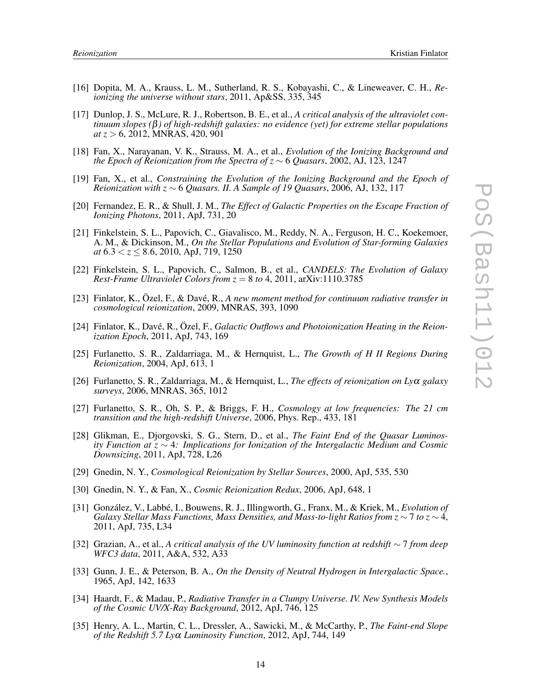- [16] Dopita, M. A., Krauss, L. M., Sutherland, R. S., Kobayashi, C., & Lineweaver, C. H., *Reionizing the universe without stars*, 2011, Ap&SS, 335, 345
- [17] Dunlop, J. S., McLure, R. J., Robertson, B. E., et al., *A critical analysis of the ultraviolet continuum slopes (*β*) of high-redshift galaxies: no evidence (yet) for extreme stellar populations at z* > 6, 2012, MNRAS, 420, 901
- [18] Fan, X., Narayanan, V. K., Strauss, M. A., et al., *Evolution of the Ionizing Background and the Epoch of Reionization from the Spectra of z* ∼ 6 *Quasars*, 2002, AJ, 123, 1247
- [19] Fan, X., et al., *Constraining the Evolution of the Ionizing Background and the Epoch of Reionization with z* ∼ 6 *Quasars. II. A Sample of 19 Quasars*, 2006, AJ, 132, 117
- [20] Fernandez, E. R., & Shull, J. M., *The Effect of Galactic Properties on the Escape Fraction of Ionizing Photons*, 2011, ApJ, 731, 20
- [21] Finkelstein, S. L., Papovich, C., Giavalisco, M., Reddy, N. A., Ferguson, H. C., Koekemoer, A. M., & Dickinson, M., *On the Stellar Populations and Evolution of Star-forming Galaxies at* 6.3 < *z* ≤ 8.6, 2010, ApJ, 719, 1250
- [22] Finkelstein, S. L., Papovich, C., Salmon, B., et al., *CANDELS: The Evolution of Galaxy Rest-Frame Ultraviolet Colors from*  $z = 8$  *to 4, 2011, arXiv:1110.3785*
- [23] Finlator, K., Özel, F., & Davé, R., *A new moment method for continuum radiative transfer in cosmological reionization*, 2009, MNRAS, 393, 1090
- [24] Finlator, K., Davé, R., Özel, F., *Galactic Outflows and Photoionization Heating in the Reionization Epoch*, 2011, ApJ, 743, 169
- [25] Furlanetto, S. R., Zaldarriaga, M., & Hernquist, L., *The Growth of H II Regions During Reionization*, 2004, ApJ, 613, 1
- [26] Furlanetto, S. R., Zaldarriaga, M., & Hernquist, L., *The effects of reionization on Ly*<sup>α</sup> *galaxy surveys*, 2006, MNRAS, 365, 1012
- [27] Furlanetto, S. R., Oh, S. P., & Briggs, F. H., *Cosmology at low frequencies: The 21 cm transition and the high-redshift Universe*, 2006, Phys. Rep., 433, 181
- [28] Glikman, E., Djorgovski, S. G., Stern, D., et al., *The Faint End of the Quasar Luminosity Function at z* ∼ 4*: Implications for Ionization of the Intergalactic Medium and Cosmic Downsizing*, 2011, ApJ, 728, L26
- [29] Gnedin, N. Y., *Cosmological Reionization by Stellar Sources*, 2000, ApJ, 535, 530
- [30] Gnedin, N. Y., & Fan, X., *Cosmic Reionization Redux*, 2006, ApJ, 648, 1
- [31] González, V., Labbé, I., Bouwens, R. J., Illingworth, G., Franx, M., & Kriek, M., *Evolution of Galaxy Stellar Mass Functions, Mass Densities, and Mass-to-light Ratios from z* ∼ 7 *to z* ∼ 4, 2011, ApJ, 735, L34
- [32] Grazian, A., et al., *A critical analysis of the UV luminosity function at redshift* ∼ 7 *from deep WFC3 data*, 2011, A&A, 532, A33
- [33] Gunn, J. E., & Peterson, B. A., *On the Density of Neutral Hydrogen in Intergalactic Space.*, 1965, ApJ, 142, 1633
- [34] Haardt, F., & Madau, P., *Radiative Transfer in a Clumpy Universe. IV. New Synthesis Models of the Cosmic UV/X-Ray Background*, 2012, ApJ, 746, 125
- [35] Henry, A. L., Martin, C. L., Dressler, A., Sawicki, M., & McCarthy, P., *The Faint-end Slope of the Redshift 5.7 Ly*<sup>α</sup> *Luminosity Function*, 2012, ApJ, 744, 149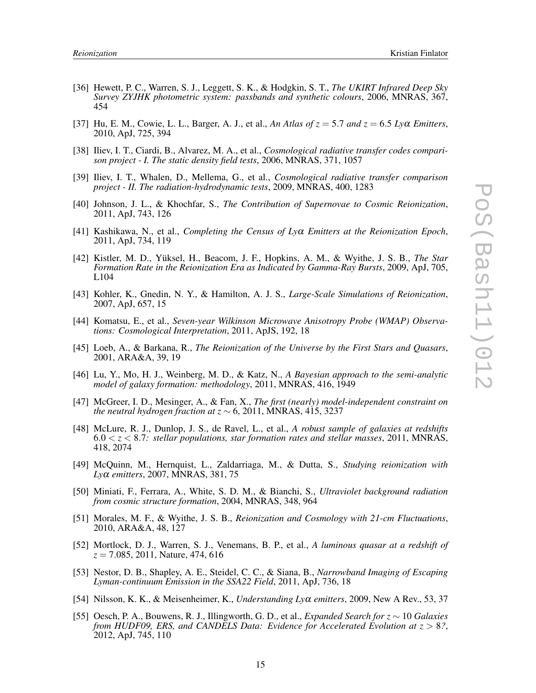- [36] Hewett, P. C., Warren, S. J., Leggett, S. K., & Hodgkin, S. T., *The UKIRT Infrared Deep Sky Survey ZYJHK photometric system: passbands and synthetic colours*, 2006, MNRAS, 367, 454
- [37] Hu, E. M., Cowie, L. L., Barger, A. J., et al., An Atlas of  $z = 5.7$  and  $z = 6.5$  Ly $\alpha$  *Emitters*, 2010, ApJ, 725, 394
- [38] Iliev, I. T., Ciardi, B., Alvarez, M. A., et al., *Cosmological radiative transfer codes comparison project - I. The static density field tests*, 2006, MNRAS, 371, 1057
- [39] Iliev, I. T., Whalen, D., Mellema, G., et al., *Cosmological radiative transfer comparison project - II. The radiation-hydrodynamic tests*, 2009, MNRAS, 400, 1283
- [40] Johnson, J. L., & Khochfar, S., *The Contribution of Supernovae to Cosmic Reionization*, 2011, ApJ, 743, 126
- [41] Kashikawa, N., et al., *Completing the Census of Ly*<sup>α</sup> *Emitters at the Reionization Epoch*, 2011, ApJ, 734, 119
- [42] Kistler, M. D., Yüksel, H., Beacom, J. F., Hopkins, A. M., & Wyithe, J. S. B., *The Star Formation Rate in the Reionization Era as Indicated by Gamma-Ray Bursts*, 2009, ApJ, 705, L104
- [43] Kohler, K., Gnedin, N. Y., & Hamilton, A. J. S., *Large-Scale Simulations of Reionization*, 2007, ApJ, 657, 15
- [44] Komatsu, E., et al., *Seven-year Wilkinson Microwave Anisotropy Probe (WMAP) Observations: Cosmological Interpretation*, 2011, ApJS, 192, 18
- [45] Loeb, A., & Barkana, R., *The Reionization of the Universe by the First Stars and Quasars*, 2001, ARA&A, 39, 19
- [46] Lu, Y., Mo, H. J., Weinberg, M. D., & Katz, N., *A Bayesian approach to the semi-analytic model of galaxy formation: methodology*, 2011, MNRAS, 416, 1949
- [47] McGreer, I. D., Mesinger, A., & Fan, X., *The first (nearly) model-independent constraint on the neutral hydrogen fraction at z* ∼ 6, 2011, MNRAS, 415, 3237
- [48] McLure, R. J., Dunlop, J. S., de Ravel, L., et al., *A robust sample of galaxies at redshifts* 6.0 < *z* < 8.7*: stellar populations, star formation rates and stellar masses*, 2011, MNRAS, 418, 2074
- [49] McQuinn, M., Hernquist, L., Zaldarriaga, M., & Dutta, S., *Studying reionization with Ly*<sup>α</sup> *emitters*, 2007, MNRAS, 381, 75
- [50] Miniati, F., Ferrara, A., White, S. D. M., & Bianchi, S., *Ultraviolet background radiation from cosmic structure formation*, 2004, MNRAS, 348, 964
- [51] Morales, M. F., & Wyithe, J. S. B., *Reionization and Cosmology with 21-cm Fluctuations*, 2010, ARA&A, 48, 127
- [52] Mortlock, D. J., Warren, S. J., Venemans, B. P., et al., *A luminous quasar at a redshift of z* = 7.085, 2011, Nature, 474, 616
- [53] Nestor, D. B., Shapley, A. E., Steidel, C. C., & Siana, B., *Narrowband Imaging of Escaping Lyman-continuum Emission in the SSA22 Field*, 2011, ApJ, 736, 18
- [54] Nilsson, K. K., & Meisenheimer, K., *Understanding Ly*<sup>α</sup> *emitters*, 2009, New A Rev., 53, 37
- [55] Oesch, P. A., Bouwens, R. J., Illingworth, G. D., et al., *Expanded Search for z* ∼ 10 *Galaxies from HUDF09, ERS, and CANDELS Data: Evidence for Accelerated Evolution at*  $z > 8$ ?, 2012, ApJ, 745, 110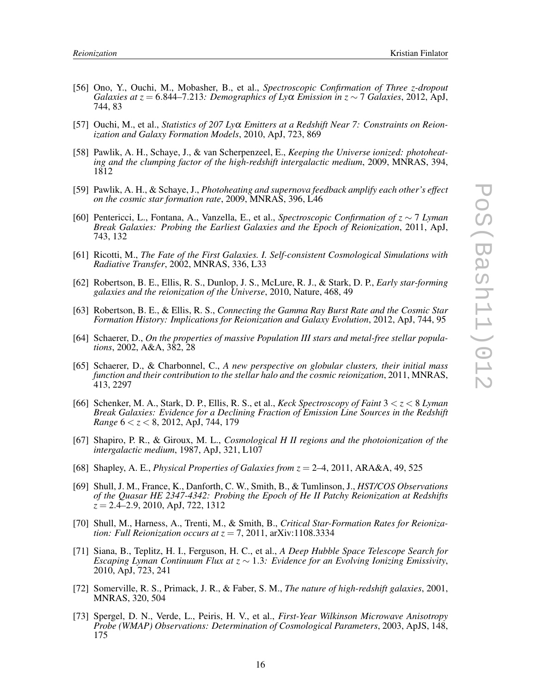- [56] Ono, Y., Ouchi, M., Mobasher, B., et al., *Spectroscopic Confirmation of Three z-dropout Galaxies at z* = 6.844–7.213*: Demographics of Ly* $\alpha$  *<i>Emission in z* ∼ 7 *Galaxies*, 2012, ApJ, 744, 83
- [57] Ouchi, M., et al., *Statistics of 207 Ly*<sup>α</sup> *Emitters at a Redshift Near 7: Constraints on Reionization and Galaxy Formation Models*, 2010, ApJ, 723, 869
- [58] Pawlik, A. H., Schaye, J., & van Scherpenzeel, E., *Keeping the Universe ionized: photoheating and the clumping factor of the high-redshift intergalactic medium*, 2009, MNRAS, 394, 1812
- [59] Pawlik, A. H., & Schaye, J., *Photoheating and supernova feedback amplify each other's effect on the cosmic star formation rate*, 2009, MNRAS, 396, L46
- [60] Pentericci, L., Fontana, A., Vanzella, E., et al., *Spectroscopic Confirmation of z* ∼ 7 *Lyman Break Galaxies: Probing the Earliest Galaxies and the Epoch of Reionization*, 2011, ApJ, 743, 132
- [61] Ricotti, M., *The Fate of the First Galaxies. I. Self-consistent Cosmological Simulations with Radiative Transfer*, 2002, MNRAS, 336, L33
- [62] Robertson, B. E., Ellis, R. S., Dunlop, J. S., McLure, R. J., & Stark, D. P., *Early star-forming galaxies and the reionization of the Universe*, 2010, Nature, 468, 49
- [63] Robertson, B. E., & Ellis, R. S., *Connecting the Gamma Ray Burst Rate and the Cosmic Star Formation History: Implications for Reionization and Galaxy Evolution*, 2012, ApJ, 744, 95
- [64] Schaerer, D., *On the properties of massive Population III stars and metal-free stellar populations*, 2002, A&A, 382, 28
- [65] Schaerer, D., & Charbonnel, C., *A new perspective on globular clusters, their initial mass function and their contribution to the stellar halo and the cosmic reionization*, 2011, MNRAS, 413, 2297
- [66] Schenker, M. A., Stark, D. P., Ellis, R. S., et al., *Keck Spectroscopy of Faint* 3 < *z* < 8 *Lyman Break Galaxies: Evidence for a Declining Fraction of Emission Line Sources in the Redshift Range* 6 < *z* < 8, 2012, ApJ, 744, 179
- [67] Shapiro, P. R., & Giroux, M. L., *Cosmological H II regions and the photoionization of the intergalactic medium*, 1987, ApJ, 321, L107
- [68] Shapley, A. E., *Physical Properties of Galaxies from z* = 2*–*4, 2011, ARA&A, 49, 525
- [69] Shull, J. M., France, K., Danforth, C. W., Smith, B., & Tumlinson, J., *HST/COS Observations of the Quasar HE 2347-4342: Probing the Epoch of He II Patchy Reionization at Redshifts z* = 2.4*–*2.9, 2010, ApJ, 722, 1312
- [70] Shull, M., Harness, A., Trenti, M., & Smith, B., *Critical Star-Formation Rates for Reionization: Full Reionization occurs at*  $z = 7, 2011$ , arXiv:1108.3334
- [71] Siana, B., Teplitz, H. I., Ferguson, H. C., et al., *A Deep Hubble Space Telescope Search for Escaping Lyman Continuum Flux at z* ∼ 1.3*: Evidence for an Evolving Ionizing Emissivity*, 2010, ApJ, 723, 241
- [72] Somerville, R. S., Primack, J. R., & Faber, S. M., *The nature of high-redshift galaxies*, 2001, MNRAS, 320, 504
- [73] Spergel, D. N., Verde, L., Peiris, H. V., et al., *First-Year Wilkinson Microwave Anisotropy Probe (WMAP) Observations: Determination of Cosmological Parameters*, 2003, ApJS, 148, 175